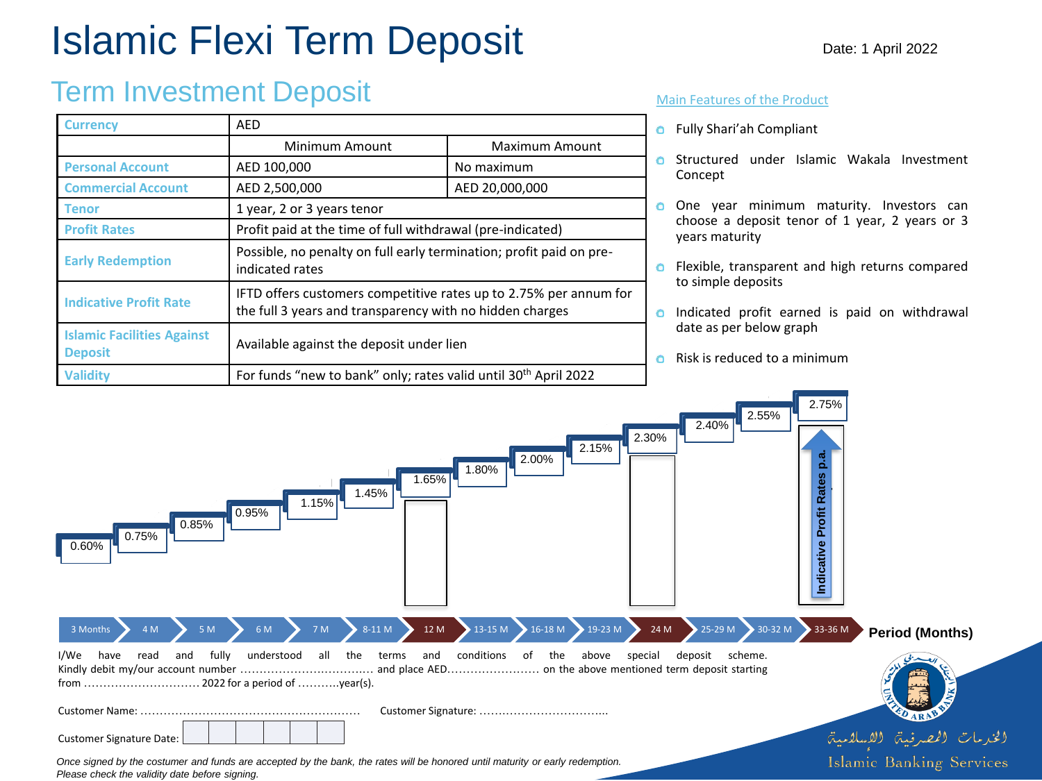# Islamic Flexi Term Deposit

# Term Investment Deposit

| Currency                                            | <b>AED</b>                                                                                                                    |                       |
|-----------------------------------------------------|-------------------------------------------------------------------------------------------------------------------------------|-----------------------|
|                                                     | Minimum Amount                                                                                                                | <b>Maximum Amount</b> |
| <b>Personal Account</b>                             | AED 100,000                                                                                                                   | No maximum            |
| <b>Commercial Account</b>                           | AED 2,500,000                                                                                                                 | AED 20,000,000        |
| Tenor                                               | 1 year, 2 or 3 years tenor                                                                                                    |                       |
| <b>Profit Rates</b>                                 | Profit paid at the time of full withdrawal (pre-indicated)                                                                    |                       |
| <b>Early Redemption</b>                             | Possible, no penalty on full early termination; profit paid on pre-<br>indicated rates                                        |                       |
| <b>Indicative Profit Rate</b>                       | IFTD offers customers competitive rates up to 2.75% per annum for<br>the full 3 years and transparency with no hidden charges |                       |
| <b>Islamic Facilities Against</b><br><b>Deposit</b> | Available against the deposit under lien                                                                                      |                       |
| <b>Validity</b>                                     | For funds "new to bank" only; rates valid until 30 <sup>th</sup> April 2022                                                   |                       |

### Main Features of the Product

- Fully Shari'ah Compliant
- **O** Structured under Islamic Wakala Investment Concept
- **O** One year minimum maturity. Investors can choose a deposit tenor of 1 year, 2 years or 3 years maturity
- **O** Flexible, transparent and high returns compared to simple deposits
- **o** Indicated profit earned is paid on withdrawal date as per below graph
- Risk is reduced to a minimum  $\bullet$